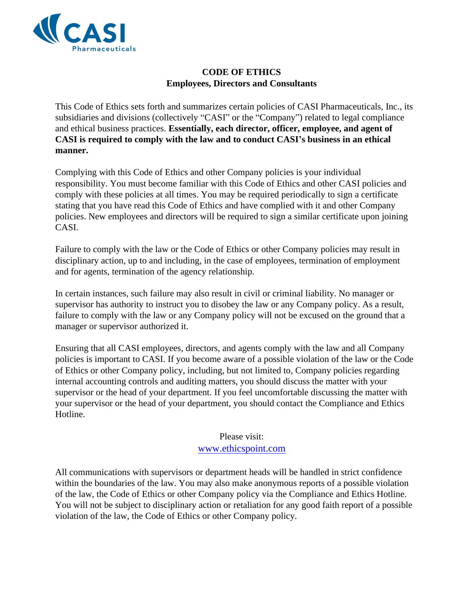

# **CODE OF ETHICS Employees, Directors and Consultants**

This Code of Ethics sets forth and summarizes certain policies of CASI Pharmaceuticals, Inc., its subsidiaries and divisions (collectively "CASI" or the "Company") related to legal compliance and ethical business practices. **Essentially, each director, officer, employee, and agent of CASI is required to comply with the law and to conduct CASI's business in an ethical manner.**

Complying with this Code of Ethics and other Company policies is your individual responsibility. You must become familiar with this Code of Ethics and other CASI policies and comply with these policies at all times. You may be required periodically to sign a certificate stating that you have read this Code of Ethics and have complied with it and other Company policies. New employees and directors will be required to sign a similar certificate upon joining CASI.

Failure to comply with the law or the Code of Ethics or other Company policies may result in disciplinary action, up to and including, in the case of employees, termination of employment and for agents, termination of the agency relationship.

In certain instances, such failure may also result in civil or criminal liability. No manager or supervisor has authority to instruct you to disobey the law or any Company policy. As a result, failure to comply with the law or any Company policy will not be excused on the ground that a manager or supervisor authorized it.

Ensuring that all CASI employees, directors, and agents comply with the law and all Company policies is important to CASI. If you become aware of a possible violation of the law or the Code of Ethics or other Company policy, including, but not limited to, Company policies regarding internal accounting controls and auditing matters, you should discuss the matter with your supervisor or the head of your department. If you feel uncomfortable discussing the matter with your supervisor or the head of your department, you should contact the Compliance and Ethics Hotline.

# Please visit:

## www.ethicspoint.com

All communications with supervisors or department heads will be handled in strict confidence within the boundaries of the law. You may also make anonymous reports of a possible violation of the law, the Code of Ethics or other Company policy via the Compliance and Ethics Hotline. You will not be subject to disciplinary action or retaliation for any good faith report of a possible violation of the law, the Code of Ethics or other Company policy.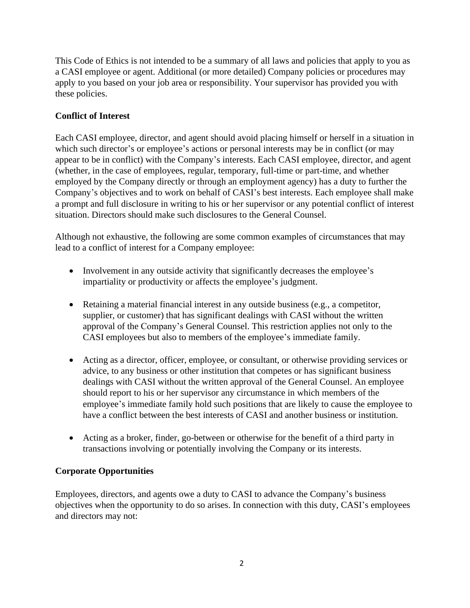This Code of Ethics is not intended to be a summary of all laws and policies that apply to you as a CASI employee or agent. Additional (or more detailed) Company policies or procedures may apply to you based on your job area or responsibility. Your supervisor has provided you with these policies.

# **Conflict of Interest**

Each CASI employee, director, and agent should avoid placing himself or herself in a situation in which such director's or employee's actions or personal interests may be in conflict (or may appear to be in conflict) with the Company's interests. Each CASI employee, director, and agent (whether, in the case of employees, regular, temporary, full-time or part-time, and whether employed by the Company directly or through an employment agency) has a duty to further the Company's objectives and to work on behalf of CASI's best interests. Each employee shall make a prompt and full disclosure in writing to his or her supervisor or any potential conflict of interest situation. Directors should make such disclosures to the General Counsel.

Although not exhaustive, the following are some common examples of circumstances that may lead to a conflict of interest for a Company employee:

- Involvement in any outside activity that significantly decreases the employee's impartiality or productivity or affects the employee's judgment.
- Retaining a material financial interest in any outside business (e.g., a competitor, supplier, or customer) that has significant dealings with CASI without the written approval of the Company's General Counsel. This restriction applies not only to the CASI employees but also to members of the employee's immediate family.
- Acting as a director, officer, employee, or consultant, or otherwise providing services or advice, to any business or other institution that competes or has significant business dealings with CASI without the written approval of the General Counsel. An employee should report to his or her supervisor any circumstance in which members of the employee's immediate family hold such positions that are likely to cause the employee to have a conflict between the best interests of CASI and another business or institution.
- Acting as a broker, finder, go-between or otherwise for the benefit of a third party in transactions involving or potentially involving the Company or its interests.

## **Corporate Opportunities**

Employees, directors, and agents owe a duty to CASI to advance the Company's business objectives when the opportunity to do so arises. In connection with this duty, CASI's employees and directors may not: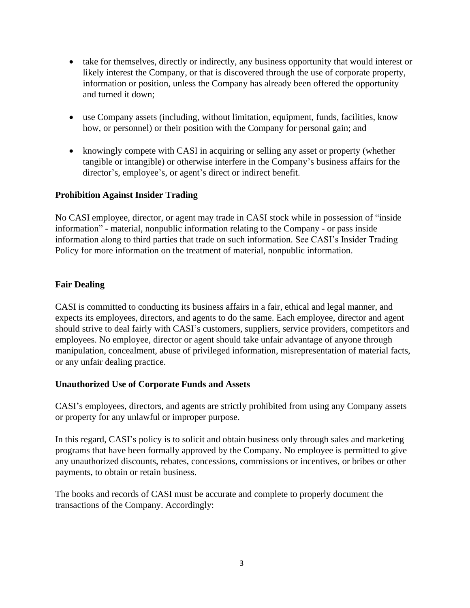- take for themselves, directly or indirectly, any business opportunity that would interest or likely interest the Company, or that is discovered through the use of corporate property, information or position, unless the Company has already been offered the opportunity and turned it down;
- use Company assets (including, without limitation, equipment, funds, facilities, know how, or personnel) or their position with the Company for personal gain; and
- knowingly compete with CASI in acquiring or selling any asset or property (whether tangible or intangible) or otherwise interfere in the Company's business affairs for the director's, employee's, or agent's direct or indirect benefit.

## **Prohibition Against Insider Trading**

No CASI employee, director, or agent may trade in CASI stock while in possession of "inside information" - material, nonpublic information relating to the Company - or pass inside information along to third parties that trade on such information. See CASI's Insider Trading Policy for more information on the treatment of material, nonpublic information.

#### **Fair Dealing**

CASI is committed to conducting its business affairs in a fair, ethical and legal manner, and expects its employees, directors, and agents to do the same. Each employee, director and agent should strive to deal fairly with CASI's customers, suppliers, service providers, competitors and employees. No employee, director or agent should take unfair advantage of anyone through manipulation, concealment, abuse of privileged information, misrepresentation of material facts, or any unfair dealing practice.

## **Unauthorized Use of Corporate Funds and Assets**

CASI's employees, directors, and agents are strictly prohibited from using any Company assets or property for any unlawful or improper purpose.

In this regard, CASI's policy is to solicit and obtain business only through sales and marketing programs that have been formally approved by the Company. No employee is permitted to give any unauthorized discounts, rebates, concessions, commissions or incentives, or bribes or other payments, to obtain or retain business.

The books and records of CASI must be accurate and complete to properly document the transactions of the Company. Accordingly: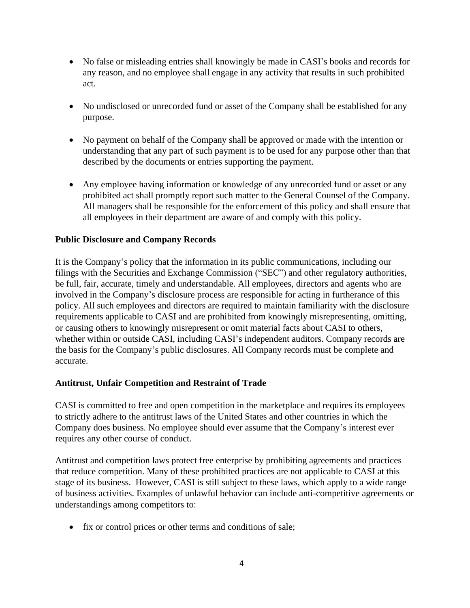- No false or misleading entries shall knowingly be made in CASI's books and records for any reason, and no employee shall engage in any activity that results in such prohibited act.
- No undisclosed or unrecorded fund or asset of the Company shall be established for any purpose.
- No payment on behalf of the Company shall be approved or made with the intention or understanding that any part of such payment is to be used for any purpose other than that described by the documents or entries supporting the payment.
- Any employee having information or knowledge of any unrecorded fund or asset or any prohibited act shall promptly report such matter to the General Counsel of the Company. All managers shall be responsible for the enforcement of this policy and shall ensure that all employees in their department are aware of and comply with this policy.

## **Public Disclosure and Company Records**

It is the Company's policy that the information in its public communications, including our filings with the Securities and Exchange Commission ("SEC") and other regulatory authorities, be full, fair, accurate, timely and understandable. All employees, directors and agents who are involved in the Company's disclosure process are responsible for acting in furtherance of this policy. All such employees and directors are required to maintain familiarity with the disclosure requirements applicable to CASI and are prohibited from knowingly misrepresenting, omitting, or causing others to knowingly misrepresent or omit material facts about CASI to others, whether within or outside CASI, including CASI's independent auditors. Company records are the basis for the Company's public disclosures. All Company records must be complete and accurate.

#### **Antitrust, Unfair Competition and Restraint of Trade**

CASI is committed to free and open competition in the marketplace and requires its employees to strictly adhere to the antitrust laws of the United States and other countries in which the Company does business. No employee should ever assume that the Company's interest ever requires any other course of conduct.

Antitrust and competition laws protect free enterprise by prohibiting agreements and practices that reduce competition. Many of these prohibited practices are not applicable to CASI at this stage of its business. However, CASI is still subject to these laws, which apply to a wide range of business activities. Examples of unlawful behavior can include anti-competitive agreements or understandings among competitors to:

• fix or control prices or other terms and conditions of sale;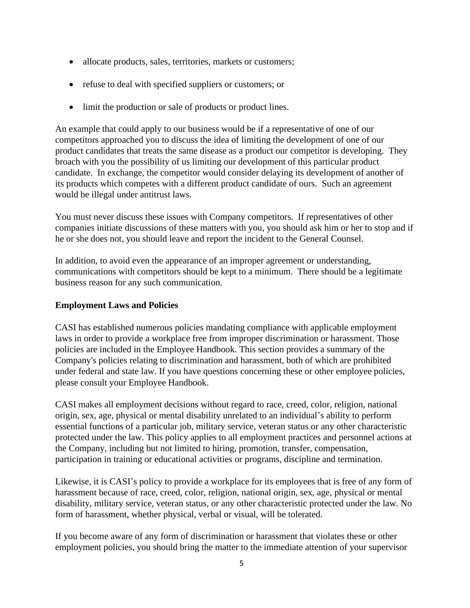- allocate products, sales, territories, markets or customers;
- refuse to deal with specified suppliers or customers; or
- limit the production or sale of products or product lines.

An example that could apply to our business would be if a representative of one of our competitors approached you to discuss the idea of limiting the development of one of our product candidates that treats the same disease as a product our competitor is developing. They broach with you the possibility of us limiting our development of this particular product candidate. In exchange, the competitor would consider delaying its development of another of its products which competes with a different product candidate of ours. Such an agreement would be illegal under antitrust laws.

You must never discuss these issues with Company competitors. If representatives of other companies initiate discussions of these matters with you, you should ask him or her to stop and if he or she does not, you should leave and report the incident to the General Counsel.

In addition, to avoid even the appearance of an improper agreement or understanding, communications with competitors should be kept to a minimum. There should be a legitimate business reason for any such communication.

## **Employment Laws and Policies**

CASI has established numerous policies mandating compliance with applicable employment laws in order to provide a workplace free from improper discrimination or harassment. Those policies are included in the Employee Handbook. This section provides a summary of the Company's policies relating to discrimination and harassment, both of which are prohibited under federal and state law. If you have questions concerning these or other employee policies, please consult your Employee Handbook.

CASI makes all employment decisions without regard to race, creed, color, religion, national origin, sex, age, physical or mental disability unrelated to an individual's ability to perform essential functions of a particular job, military service, veteran status or any other characteristic protected under the law. This policy applies to all employment practices and personnel actions at the Company, including but not limited to hiring, promotion, transfer, compensation, participation in training or educational activities or programs, discipline and termination.

Likewise, it is CASI's policy to provide a workplace for its employees that is free of any form of harassment because of race, creed, color, religion, national origin, sex, age, physical or mental disability, military service, veteran status, or any other characteristic protected under the law. No form of harassment, whether physical, verbal or visual, will be tolerated.

If you become aware of any form of discrimination or harassment that violates these or other employment policies, you should bring the matter to the immediate attention of your supervisor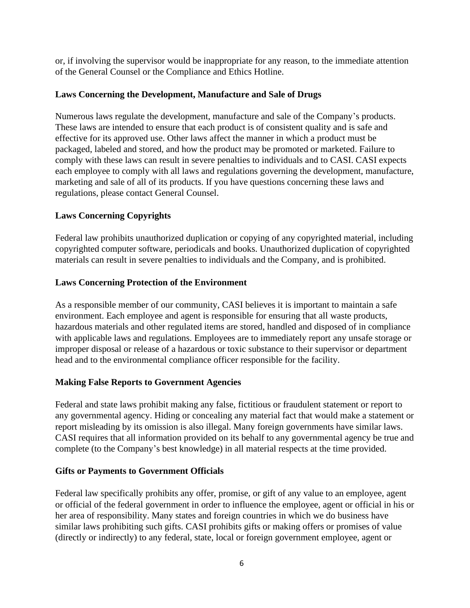or, if involving the supervisor would be inappropriate for any reason, to the immediate attention of the General Counsel or the Compliance and Ethics Hotline.

#### **Laws Concerning the Development, Manufacture and Sale of Drugs**

Numerous laws regulate the development, manufacture and sale of the Company's products. These laws are intended to ensure that each product is of consistent quality and is safe and effective for its approved use. Other laws affect the manner in which a product must be packaged, labeled and stored, and how the product may be promoted or marketed. Failure to comply with these laws can result in severe penalties to individuals and to CASI. CASI expects each employee to comply with all laws and regulations governing the development, manufacture, marketing and sale of all of its products. If you have questions concerning these laws and regulations, please contact General Counsel.

## **Laws Concerning Copyrights**

Federal law prohibits unauthorized duplication or copying of any copyrighted material, including copyrighted computer software, periodicals and books. Unauthorized duplication of copyrighted materials can result in severe penalties to individuals and the Company, and is prohibited.

## **Laws Concerning Protection of the Environment**

As a responsible member of our community, CASI believes it is important to maintain a safe environment. Each employee and agent is responsible for ensuring that all waste products, hazardous materials and other regulated items are stored, handled and disposed of in compliance with applicable laws and regulations. Employees are to immediately report any unsafe storage or improper disposal or release of a hazardous or toxic substance to their supervisor or department head and to the environmental compliance officer responsible for the facility.

## **Making False Reports to Government Agencies**

Federal and state laws prohibit making any false, fictitious or fraudulent statement or report to any governmental agency. Hiding or concealing any material fact that would make a statement or report misleading by its omission is also illegal. Many foreign governments have similar laws. CASI requires that all information provided on its behalf to any governmental agency be true and complete (to the Company's best knowledge) in all material respects at the time provided.

## **Gifts or Payments to Government Officials**

Federal law specifically prohibits any offer, promise, or gift of any value to an employee, agent or official of the federal government in order to influence the employee, agent or official in his or her area of responsibility. Many states and foreign countries in which we do business have similar laws prohibiting such gifts. CASI prohibits gifts or making offers or promises of value (directly or indirectly) to any federal, state, local or foreign government employee, agent or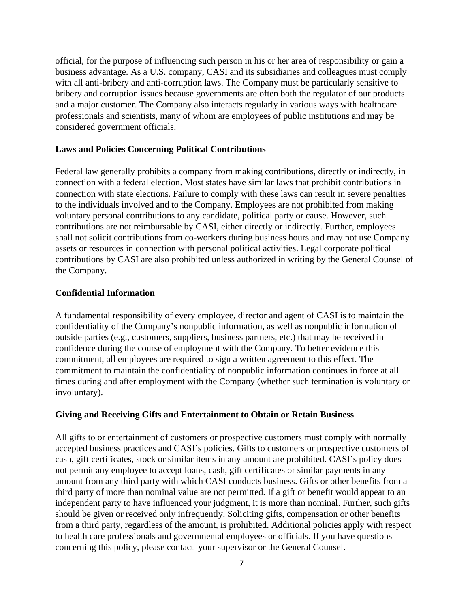official, for the purpose of influencing such person in his or her area of responsibility or gain a business advantage. As a U.S. company, CASI and its subsidiaries and colleagues must comply with all anti-bribery and anti-corruption laws. The Company must be particularly sensitive to bribery and corruption issues because governments are often both the regulator of our products and a major customer. The Company also interacts regularly in various ways with healthcare professionals and scientists, many of whom are employees of public institutions and may be considered government officials.

#### **Laws and Policies Concerning Political Contributions**

Federal law generally prohibits a company from making contributions, directly or indirectly, in connection with a federal election. Most states have similar laws that prohibit contributions in connection with state elections. Failure to comply with these laws can result in severe penalties to the individuals involved and to the Company. Employees are not prohibited from making voluntary personal contributions to any candidate, political party or cause. However, such contributions are not reimbursable by CASI, either directly or indirectly. Further, employees shall not solicit contributions from co-workers during business hours and may not use Company assets or resources in connection with personal political activities. Legal corporate political contributions by CASI are also prohibited unless authorized in writing by the General Counsel of the Company.

#### **Confidential Information**

A fundamental responsibility of every employee, director and agent of CASI is to maintain the confidentiality of the Company's nonpublic information, as well as nonpublic information of outside parties (e.g., customers, suppliers, business partners, etc.) that may be received in confidence during the course of employment with the Company. To better evidence this commitment, all employees are required to sign a written agreement to this effect. The commitment to maintain the confidentiality of nonpublic information continues in force at all times during and after employment with the Company (whether such termination is voluntary or involuntary).

#### **Giving and Receiving Gifts and Entertainment to Obtain or Retain Business**

All gifts to or entertainment of customers or prospective customers must comply with normally accepted business practices and CASI's policies. Gifts to customers or prospective customers of cash, gift certificates, stock or similar items in any amount are prohibited. CASI's policy does not permit any employee to accept loans, cash, gift certificates or similar payments in any amount from any third party with which CASI conducts business. Gifts or other benefits from a third party of more than nominal value are not permitted. If a gift or benefit would appear to an independent party to have influenced your judgment, it is more than nominal. Further, such gifts should be given or received only infrequently. Soliciting gifts, compensation or other benefits from a third party, regardless of the amount, is prohibited. Additional policies apply with respect to health care professionals and governmental employees or officials. If you have questions concerning this policy, please contact your supervisor or the General Counsel.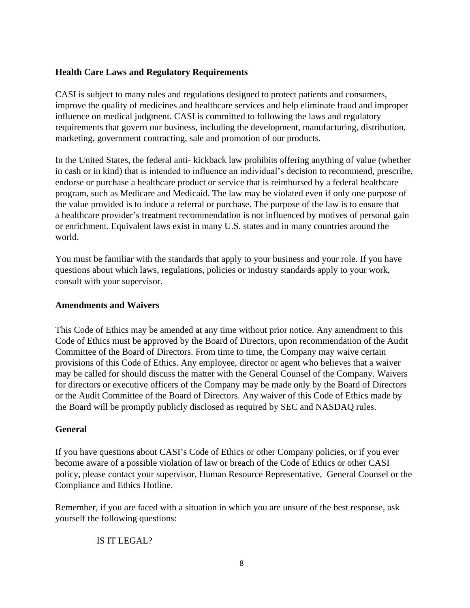#### **Health Care Laws and Regulatory Requirements**

CASI is subject to many rules and regulations designed to protect patients and consumers, improve the quality of medicines and healthcare services and help eliminate fraud and improper influence on medical judgment. CASI is committed to following the laws and regulatory requirements that govern our business, including the development, manufacturing, distribution, marketing, government contracting, sale and promotion of our products.

In the United States, the federal anti- kickback law prohibits offering anything of value (whether in cash or in kind) that is intended to influence an individual's decision to recommend, prescribe, endorse or purchase a healthcare product or service that is reimbursed by a federal healthcare program, such as Medicare and Medicaid. The law may be violated even if only one purpose of the value provided is to induce a referral or purchase. The purpose of the law is to ensure that a healthcare provider's treatment recommendation is not influenced by motives of personal gain or enrichment. Equivalent laws exist in many U.S. states and in many countries around the world.

You must be familiar with the standards that apply to your business and your role. If you have questions about which laws, regulations, policies or industry standards apply to your work, consult with your supervisor.

#### **Amendments and Waivers**

This Code of Ethics may be amended at any time without prior notice. Any amendment to this Code of Ethics must be approved by the Board of Directors, upon recommendation of the Audit Committee of the Board of Directors. From time to time, the Company may waive certain provisions of this Code of Ethics. Any employee, director or agent who believes that a waiver may be called for should discuss the matter with the General Counsel of the Company. Waivers for directors or executive officers of the Company may be made only by the Board of Directors or the Audit Committee of the Board of Directors. Any waiver of this Code of Ethics made by the Board will be promptly publicly disclosed as required by SEC and NASDAQ rules.

#### **General**

If you have questions about CASI's Code of Ethics or other Company policies, or if you ever become aware of a possible violation of law or breach of the Code of Ethics or other CASI policy, please contact your supervisor, Human Resource Representative, General Counsel or the Compliance and Ethics Hotline.

Remember, if you are faced with a situation in which you are unsure of the best response, ask yourself the following questions:

IS IT LEGAL?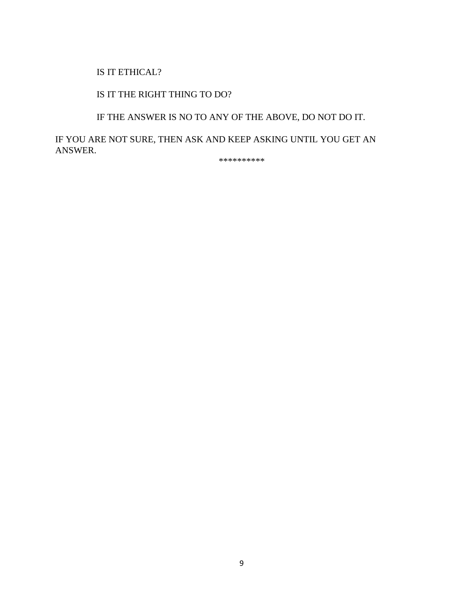#### IS IT ETHICAL?

## IS IT THE RIGHT THING TO DO?

# IF THE ANSWER IS NO TO ANY OF THE ABOVE, DO NOT DO IT.

IF YOU ARE NOT SURE, THEN ASK AND KEEP ASKING UNTIL YOU GET AN ANSWER.

\*\*\*\*\*\*\*\*\*\*